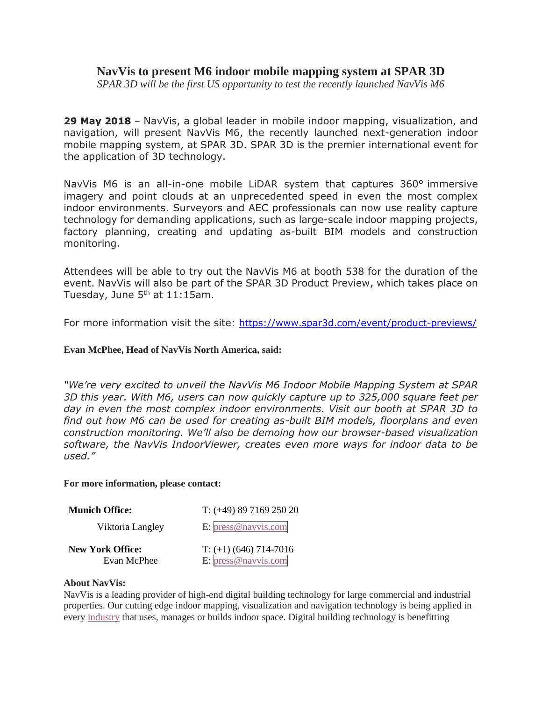## **NavVis to present M6 indoor mobile mapping system at SPAR 3D**

*SPAR 3D will be the first US opportunity to test the recently launched NavVis M6*

**29 May 2018** – NavVis, a global leader in mobile indoor mapping, visualization, and navigation, will present NavVis M6, the recently launched next-generation indoor mobile mapping system, at SPAR 3D. SPAR 3D is the premier international event for the application of 3D technology.

NavVis M6 is an all-in-one mobile LiDAR system that captures 360° immersive imagery and point clouds at an unprecedented speed in even the most complex indoor environments. Surveyors and AEC professionals can now use reality capture technology for demanding applications, such as large-scale indoor mapping projects, factory planning, creating and updating as-built BIM models and construction monitoring.

Attendees will be able to try out the NavVis M6 at booth 538 for the duration of the event. NavVis will also be part of the SPAR 3D Product Preview, which takes place on Tuesday, June  $5<sup>th</sup>$  at 11:15am.

For more information visit the site: <https://www.spar3d.com/event/product-previews/>

## **Evan McPhee, Head of NavVis North America, said:**

*"We're very excited to unveil the NavVis M6 Indoor Mobile Mapping System at SPAR 3D this year. With M6, users can now quickly capture up to 325,000 square feet per day in even the most complex indoor environments. Visit our booth at SPAR 3D to find out how M6 can be used for creating as-built BIM models, floorplans and even construction monitoring. We'll also be demoing how our browser-based visualization software, the NavVis IndoorViewer, creates even more ways for indoor data to be used."*

## **For more information, please contact:**

| <b>Munich Office:</b>   | $T: (+49) 89 7169 250 20$ |
|-------------------------|---------------------------|
| Viktoria Langley        | E: $pres@navvis.com$      |
| <b>New York Office:</b> | $T: (+1)$ (646) 714-7016  |
| Evan McPhee             | E: press@navvis.com       |

## **About NavVis:**

NavVis is a leading provider of high-end digital building technology for large commercial and industrial properties. Our cutting edge indoor mapping, visualization and navigation technology is being applied in every [industry](http://www.navvis.com/markets/overview/) that uses, manages or builds indoor space. Digital building technology is benefitting